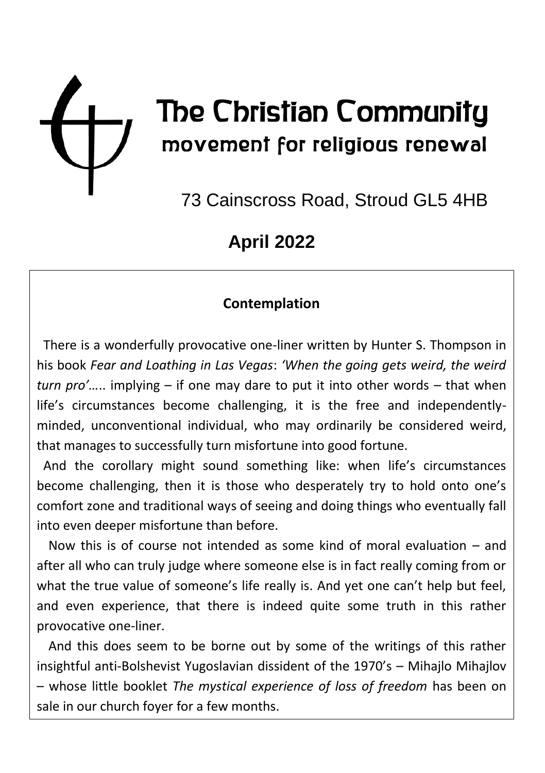

# The Christian Community movement for religious renewal

73 Cainscross Road, Stroud GL5 4HB

## **April 2022**

### **Contemplation**

 There is a wonderfully provocative one-liner written by Hunter S. Thompson in his book *Fear and Loathing in Las Vegas*: *'When the going gets weird, the weird turn pro'…*.. implying – if one may dare to put it into other words – that when life's circumstances become challenging, it is the free and independentlyminded, unconventional individual, who may ordinarily be considered weird, that manages to successfully turn misfortune into good fortune.

 And the corollary might sound something like: when life's circumstances become challenging, then it is those who desperately try to hold onto one's comfort zone and traditional ways of seeing and doing things who eventually fall into even deeper misfortune than before.

Now this is of course not intended as some kind of moral evaluation – and after all who can truly judge where someone else is in fact really coming from or what the true value of someone's life really is. And yet one can't help but feel, and even experience, that there is indeed quite some truth in this rather provocative one-liner.

And this does seem to be borne out by some of the writings of this rather insightful anti-Bolshevist Yugoslavian dissident of the 1970's – Mihajlo Mihajlov – whose little booklet *The mystical experience of loss of freedom* has been on sale in our church foyer for a few months.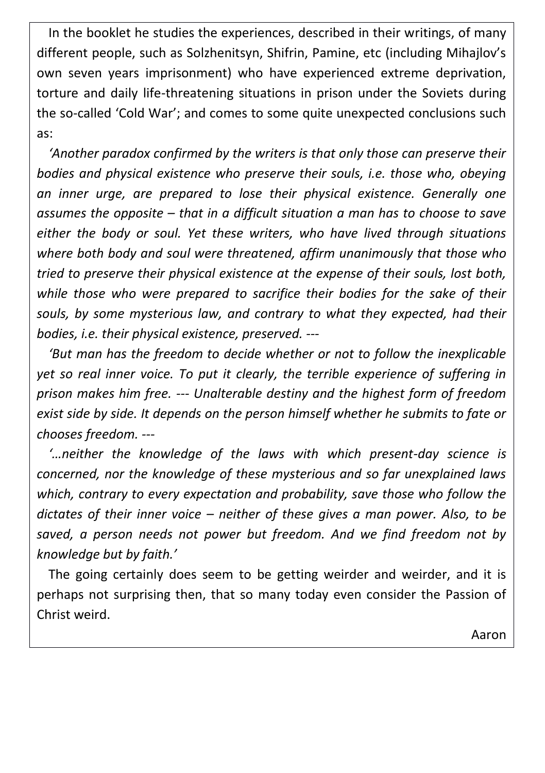In the booklet he studies the experiences, described in their writings, of many different people, such as Solzhenitsyn, Shifrin, Pamine, etc (including Mihajlov's own seven years imprisonment) who have experienced extreme deprivation, torture and daily life-threatening situations in prison under the Soviets during the so-called 'Cold War'; and comes to some quite unexpected conclusions such as:

*'Another paradox confirmed by the writers is that only those can preserve their bodies and physical existence who preserve their souls, i.e. those who, obeying an inner urge, are prepared to lose their physical existence. Generally one assumes the opposite – that in a difficult situation a man has to choose to save either the body or soul. Yet these writers, who have lived through situations where both body and soul were threatened, affirm unanimously that those who tried to preserve their physical existence at the expense of their souls, lost both, while those who were prepared to sacrifice their bodies for the sake of their souls, by some mysterious law, and contrary to what they expected, had their bodies, i.e. their physical existence, preserved. ---* 

*'But man has the freedom to decide whether or not to follow the inexplicable yet so real inner voice. To put it clearly, the terrible experience of suffering in prison makes him free. --- Unalterable destiny and the highest form of freedom exist side by side. It depends on the person himself whether he submits to fate or chooses freedom. ---*

*'…neither the knowledge of the laws with which present-day science is concerned, nor the knowledge of these mysterious and so far unexplained laws which, contrary to every expectation and probability, save those who follow the dictates of their inner voice – neither of these gives a man power. Also, to be saved, a person needs not power but freedom. And we find freedom not by knowledge but by faith.'*

The going certainly does seem to be getting weirder and weirder, and it is perhaps not surprising then, that so many today even consider the Passion of Christ weird.

Aaron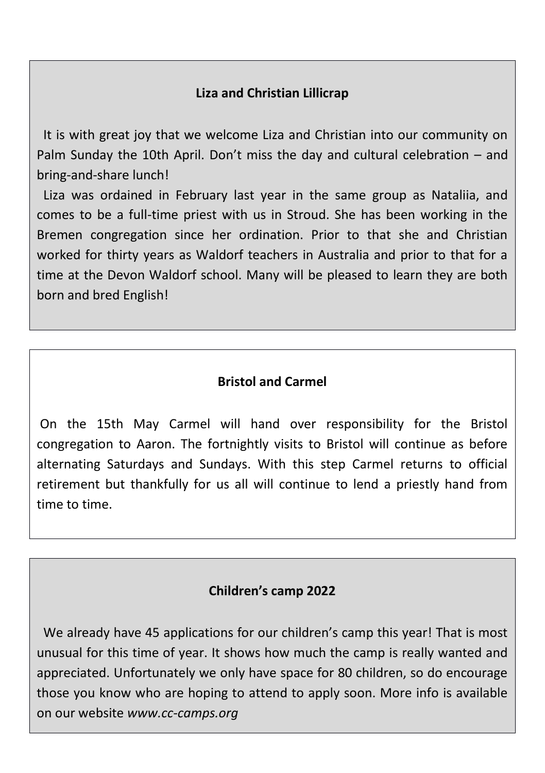#### **Liza and Christian Lillicrap**

 It is with great joy that we welcome Liza and Christian into our community on Palm Sunday the 10th April. Don't miss the day and cultural celebration – and bring-and-share lunch!

 Liza was ordained in February last year in the same group as Nataliia, and comes to be a full-time priest with us in Stroud. She has been working in the Bremen congregation since her ordination. Prior to that she and Christian worked for thirty years as Waldorf teachers in Australia and prior to that for a time at the Devon Waldorf school. Many will be pleased to learn they are both born and bred English!

#### **Bristol and Carmel**

On the 15th May Carmel will hand over responsibility for the Bristol congregation to Aaron. The fortnightly visits to Bristol will continue as before alternating Saturdays and Sundays. With this step Carmel returns to official retirement but thankfully for us all will continue to lend a priestly hand from time to time.

#### **Children's camp 2022**

We already have 45 applications for our children's camp this year! That is most unusual for this time of year. It shows how much the camp is really wanted and appreciated. Unfortunately we only have space for 80 children, so do encourage those you know who are hoping to attend to apply soon. More info is available on our website *www.cc-camps.org*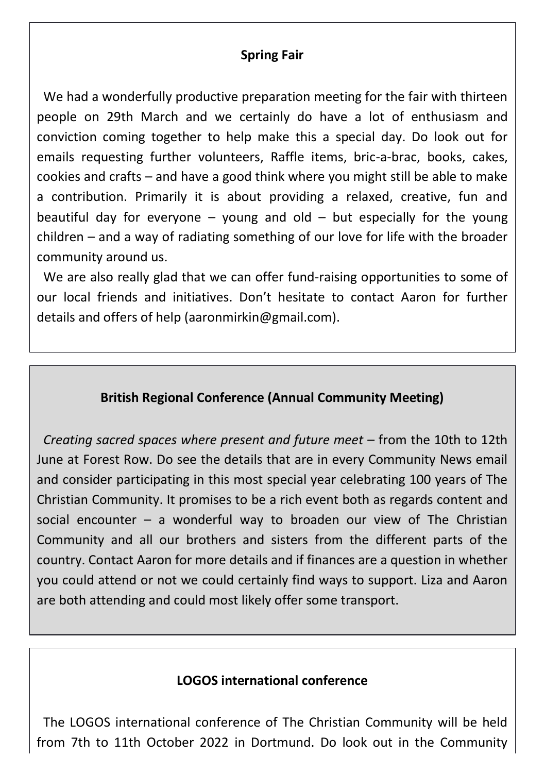#### **Spring Fair**

 We had a wonderfully productive preparation meeting for the fair with thirteen people on 29th March and we certainly do have a lot of enthusiasm and conviction coming together to help make this a special day. Do look out for emails requesting further volunteers, Raffle items, bric-a-brac, books, cakes, cookies and crafts – and have a good think where you might still be able to make a contribution. Primarily it is about providing a relaxed, creative, fun and beautiful day for everyone  $-$  young and old  $-$  but especially for the young children – and a way of radiating something of our love for life with the broader community around us.

 We are also really glad that we can offer fund-raising opportunities to some of our local friends and initiatives. Don't hesitate to contact Aaron for further details and offers of help (aaronmirkin@gmail.com).

#### **British Regional Conference (Annual Community Meeting)**

 *Creating sacred spaces where present and future meet* – from the 10th to 12th June at Forest Row. Do see the details that are in every Community News email and consider participating in this most special year celebrating 100 years of The Christian Community. It promises to be a rich event both as regards content and social encounter – a wonderful way to broaden our view of The Christian Community and all our brothers and sisters from the different parts of the country. Contact Aaron for more details and if finances are a question in whether you could attend or not we could certainly find ways to support. Liza and Aaron are both attending and could most likely offer some transport.

#### **LOGOS international conference**

 The LOGOS international conference of The Christian Community will be held from 7th to 11th October 2022 in Dortmund. Do look out in the Community